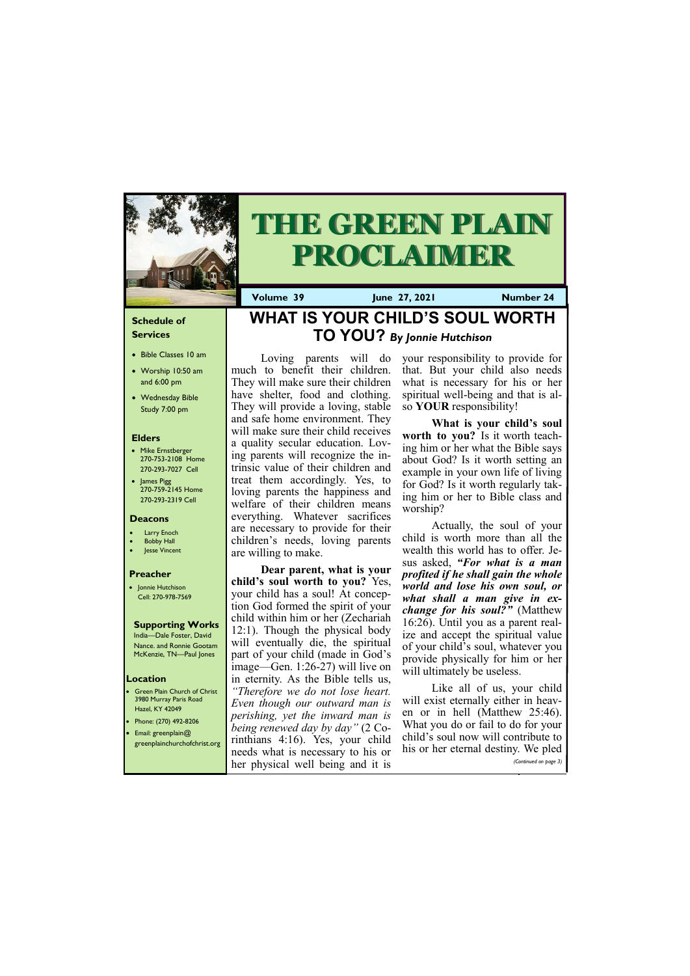## **Schedule of Services**

- Bible Classes 10 am
- Worship 10:50 am and 6:00 pm
- Wednesday Bible Study 7:00 pm

### **Elders**

- Mike Ernstberger 270-753-2108 Home 270-293-7027 Cell
- James Pigg 270-759-2145 Home 270-293-2319 Cell

**Green Plain Church of Christ** 3980 Murray Paris Road Hazel, KY 42049 • Phone: (270) 492-8206 • Email: greenplain@

### **Location**



# **THE GREEN PLAIN PROCLAIMER**

**Volume 39 June 27, 2021 Number 24**

### **Deacons**

- Larry Enoch
- **Bobby Hall**
- Jesse Vincent

### **Preacher**

• Jonnie Hutchison Cell: 270-978-7569

## **Supporting Works**

India—Dale Foster, David Nance. and Ronnie Gootam McKenzie, TN—Paul Jones

## **WHAT IS YOUR CHILD'S SOUL WORTH TO YOU?** *By Jonnie Hutchison*

Loving parents will do much to benefit their children. They will make sure their children have shelter, food and clothing. They will provide a loving, stable and safe home environment. They will make sure their child receives a quality secular education. Loving parents will recognize the intrinsic value of their children and treat them accordingly. Yes, to loving parents the happiness and welfare of their children means everything. Whatever sacrifices are necessary to provide for their children's needs, loving parents are willing to make.

**Dear parent, what is your child's soul worth to you?** Yes, your child has a soul! At conception God formed the spirit of your child within him or her (Zechariah 12:1). Though the physical body will eventually die, the spiritual part of your child (made in God's image—Gen. 1:26-27) will live on in eternity. As the Bible tells us, *"Therefore we do not lose heart. Even though our outward man is perishing, yet the inward man is being renewed day by day"* (2 Co-

|                                   | $\epsilon$ greenplainchurchofchrist.org rinthians 4:16). Yes, your child child s soul now will contribute to |
|-----------------------------------|--------------------------------------------------------------------------------------------------------------|
|                                   | needs what is necessary to his or his or her eternal destiny. We pled,                                       |
| her physical well being and it is | (Continued on page 3)                                                                                        |

your responsibility to provide for that. But your child also needs what is necessary for his or her spiritual well-being and that is also **YOUR** responsibility!

**What is your child's soul worth to you?** Is it worth teaching him or her what the Bible says about God? Is it worth setting an example in your own life of living for God? Is it worth regularly taking him or her to Bible class and worship?

Actually, the soul of your child is worth more than all the wealth this world has to offer. Jesus asked, *"For what is a man profited if he shall gain the whole world and lose his own soul, or what shall a man give in exchange for his soul?"* (Matthew 16:26). Until you as a parent realize and accept the spiritual value of your child's soul, whatever you provide physically for him or her will ultimately be useless.

Like all of us, your child will exist eternally either in heaven or in hell (Matthew 25:46). What you do or fail to do for your child's soul now will contribute to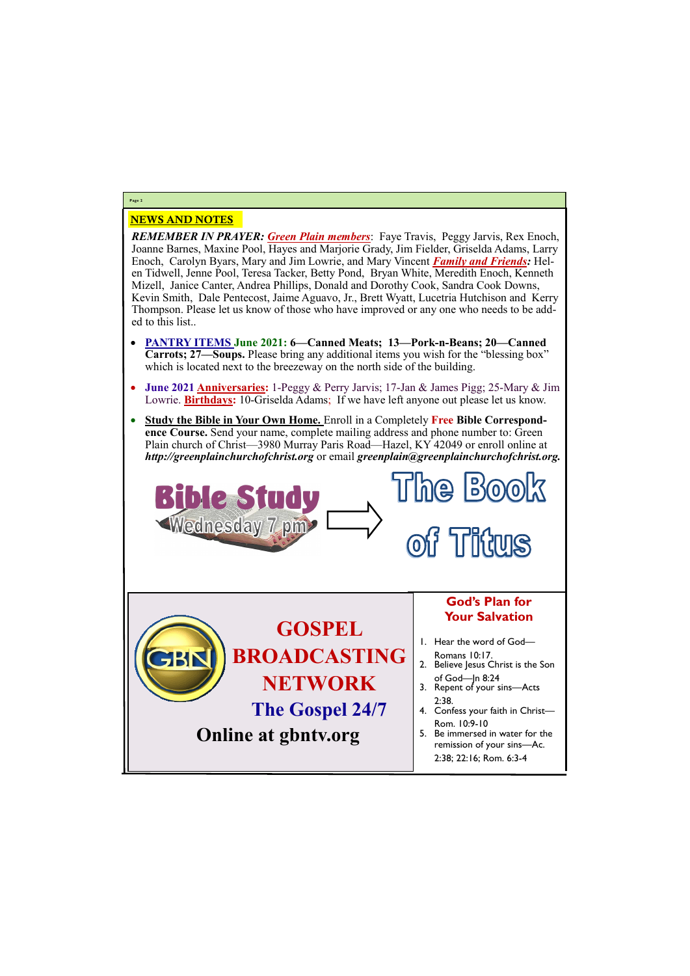## NEWS AND NOTES

*REMEMBER IN PRAYER: Green Plain members*: Faye Travis, Peggy Jarvis, Rex Enoch, Joanne Barnes, Maxine Pool, Hayes and Marjorie Grady, Jim Fielder, Griselda Adams, Larry Enoch, Carolyn Byars, Mary and Jim Lowrie, and Mary Vincent *Family and Friends:* Helen Tidwell, Jenne Pool, Teresa Tacker, Betty Pond, Bryan White, Meredith Enoch, Kenneth Mizell, Janice Canter, Andrea Phillips, Donald and Dorothy Cook, Sandra Cook Downs, Kevin Smith, Dale Pentecost, Jaime Aguavo, Jr., Brett Wyatt, Lucetria Hutchison and Kerry Thompson. Please let us know of those who have improved or any one who needs to be added to this list..

Wednesday 7 pm> **Titurs**  $\mathbf{O}$ **God's Plan for Your Salvation GOSPEL**  1. Hear the word of God— **BROADCASTING**  Romans 10:17. 2. Believe Jesus Christ is the Son of God—Jn 8:24 **NETWORK** 3. Repent of your sins—Acts 2:38. **The Gospel 24/7** 4. Confess your faith in Christ— Rom. 10:9-10 **Online at gbntv.org** 5. Be immersed in water for the

**Bible Study** 

- **PANTRY ITEMS June 2021: 6—Canned Meats; 13—Pork-n-Beans; 20—Canned Carrots; 27—Soups.** Please bring any additional items you wish for the "blessing box" which is located next to the breezeway on the north side of the building.
- **June 2021 Anniversaries:** 1-Peggy & Perry Jarvis; 17-Jan & James Pigg; 25-Mary & Jim Lowrie. **Birthdays:** 10-Griselda Adams; If we have left anyone out please let us know.
- **Study the Bible in Your Own Home.** Enroll in a Completely **Free Bible Correspondence Course.** Send your name, complete mailing address and phone number to: Green Plain church of Christ—3980 Murray Paris Road—Hazel, KY 42049 or enroll online at *http://greenplainchurchofchrist.org* or email *greenplain@greenplainchurchofchrist.org.*

## **Page 2**

remission of your sins—Ac. 2:38; 22:16; Rom. 6:3-4

The Book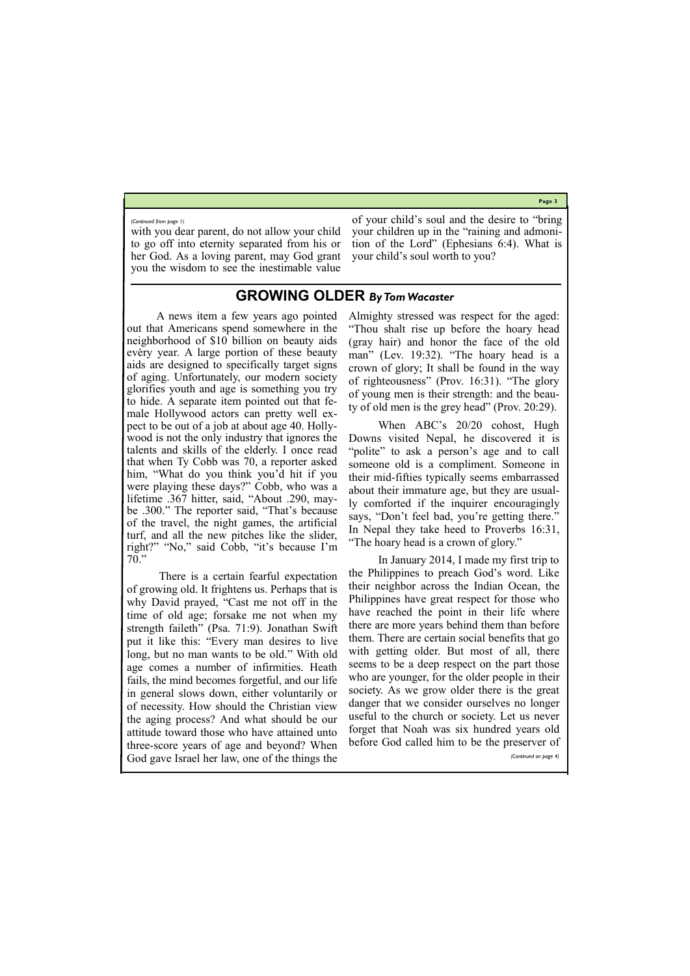**Page 3**

with you dear parent, do not allow your child to go off into eternity separated from his or her God. As a loving parent, may God grant you the wisdom to see the inestimable value

of your child's soul and the desire to "bring your children up in the "raining and admonition of the Lord" (Ephesians 6:4). What is your child's soul worth to you?

*(Continued from page 1)*

## **GROWING OLDER** *By Tom Wacaster*

A news item a few years ago pointed out that Americans spend somewhere in the neighborhood of \$10 billion on beauty aids every year. A large portion of these beauty aids are designed to specifically target signs of aging. Unfortunately, our modern society glorifies youth and age is something you try to hide. A separate item pointed out that female Hollywood actors can pretty well expect to be out of a job at about age 40. Hollywood is not the only industry that ignores the talents and skills of the elderly. I once read that when Ty Cobb was 70, a reporter asked him, "What do you think you'd hit if you were playing these days?" Cobb, who was a lifetime .367 hitter, said, "About .290, maybe .300." The reporter said, "That's because of the travel, the night games, the artificial turf, and all the new pitches like the slider, right?" "No," said Cobb, "it's because I'm 70."

There is a certain fearful expectation of growing old. It frightens us. Perhaps that is why David prayed, "Cast me not off in the time of old age; forsake me not when my strength faileth" (Psa. 71:9). Jonathan Swift put it like this: "Every man desires to live long, but no man wants to be old." With old age comes a number of infirmities. Heath fails, the mind becomes forgetful, and our life in general slows down, either voluntarily or of necessity. How should the Christian view the aging process? And what should be our attitude toward those who have attained unto

Almighty stressed was respect for the aged: "Thou shalt rise up before the hoary head (gray hair) and honor the face of the old man" (Lev. 19:32). "The hoary head is a crown of glory; It shall be found in the way of righteousness" (Prov. 16:31). "The glory of young men is their strength: and the beauty of old men is the grey head" (Prov. 20:29).

When ABC's 20/20 cohost, Hugh Downs visited Nepal, he discovered it is "polite" to ask a person's age and to call someone old is a compliment. Someone in their mid-fifties typically seems embarrassed about their immature age, but they are usually comforted if the inquirer encouragingly says, "Don't feel bad, you're getting there." In Nepal they take heed to Proverbs 16:31, "The hoary head is a crown of glory."

three-score years of age and beyond? When God gave Israel her law, one of the things the before God called him to be the preserver of *(Continued on page 4)*

In January 2014, I made my first trip to the Philippines to preach God's word. Like their neighbor across the Indian Ocean, the Philippines have great respect for those who have reached the point in their life where there are more years behind them than before them. There are certain social benefits that go with getting older. But most of all, there seems to be a deep respect on the part those who are younger, for the older people in their society. As we grow older there is the great danger that we consider ourselves no longer useful to the church or society. Let us never forget that Noah was six hundred years old